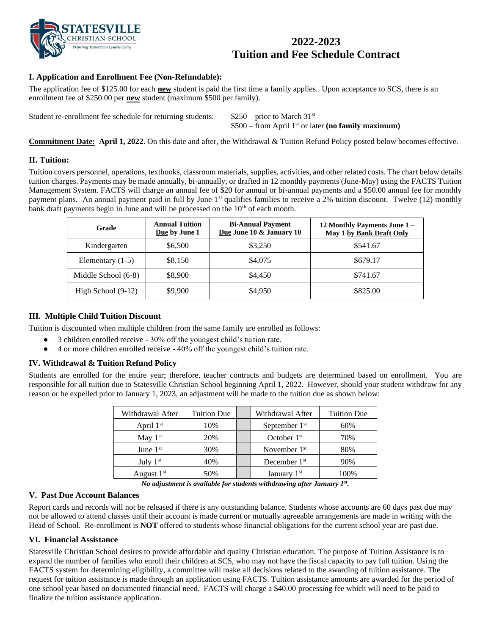

# **2022-2023 Tuition and Fee Schedule Contract**

# **I. Application and Enrollment Fee (Non-Refundable):**

The application fee of \$125.00 for each **new** student is paid the first time a family applies. Upon acceptance to SCS, there is an enrollment fee of \$250.00 per **new** student (maximum \$500 per family).

Student re-enrollment fee schedule for returning students:  $$250$  – prior to March 31<sup>st</sup>

\$500 – from April 1st or later **(no family maximum)**

**Commitment Date: April 1, 2022**. On this date and after, the Withdrawal & Tuition Refund Policy posted below becomes effective.

#### **II. Tuition:**

Tuition covers personnel, operations, textbooks, classroom materials, supplies, activities, and other related costs. The chart below details tuition charges. Payments may be made annually, bi-annually, or drafted in 12 monthly payments (June-May) using the FACTS Tuition Management System. FACTS will charge an annual fee of \$20 for annual or bi-annual payments and a \$50.00 annual fee for monthly payment plans. An annual payment paid in full by June 1<sup>st</sup> qualifies families to receive a 2% tuition discount. Twelve (12) monthly bank draft payments begin in June and will be processed on the 10<sup>th</sup> of each month.

| Grade                | <b>Annual Tuition</b><br>Due by June 1 | <b>Bi-Annual Payment</b><br>Due June 10 & January 10 | 12 Monthly Payments June 1 –<br>May 1 by Bank Draft Only |
|----------------------|----------------------------------------|------------------------------------------------------|----------------------------------------------------------|
| Kindergarten         | \$6,500                                | \$3,250                                              | \$541.67                                                 |
| Elementary $(1-5)$   | \$8,150                                | \$4,075                                              | \$679.17                                                 |
| Middle School (6-8)  | \$8,900                                | \$4,450                                              | \$741.67                                                 |
| High School $(9-12)$ | \$9,900                                | \$4,950                                              | \$825.00                                                 |

#### **III. Multiple Child Tuition Discount**

Tuition is discounted when multiple children from the same family are enrolled as follows:

- 3 children enrolled receive 30% off the youngest child's tuition rate.
- 4 or more children enrolled receive 40% off the youngest child's tuition rate.

# **IV. Withdrawal & Tuition Refund Policy**

Students are enrolled for the entire year; therefore, teacher contracts and budgets are determined based on enrollment. You are responsible for all tuition due to Statesville Christian School beginning April 1, 2022. However, should your student withdraw for any reason or be expelled prior to January 1, 2023, an adjustment will be made to the tuition due as shown below:

| Withdrawal After | <b>Tuition Due</b> | Withdrawal After          | <b>Tuition Due</b> |
|------------------|--------------------|---------------------------|--------------------|
| April $1st$      | 10%                | September 1 <sup>st</sup> | 60%                |
| May $1st$        | 20%                | October $1st$             | 70%                |
| June $1st$       | 30%                | November $1st$            | 80%                |
| July $1st$       | 40%                | December $1st$            | 90%                |
| August $1st$     | 50%                | January $1st$             | 100%               |

*No adjustment is available for students withdrawing after January 1st .* 

#### **V. Past Due Account Balances**

Report cards and records will not be released if there is any outstanding balance. Students whose accounts are 60 days past due may not be allowed to attend classes until their account is made current or mutually agreeable arrangements are made in writing with the Head of School. Re-enrollment is **NOT** offered to students whose financial obligations for the current school year are past due.

#### **VI. Financial Assistance**

Statesville Christian School desires to provide affordable and quality Christian education. The purpose of Tuition Assistance is to expand the number of families who enroll their children at SCS, who may not have the fiscal capacity to pay full tuition. Using the FACTS system for determining eligibility, a committee will make all decisions related to the awarding of tuition assistance. The request for tuition assistance is made through an application using FACTS. Tuition assistance amounts are awarded for the period of one school year based on documented financial need. FACTS will charge a \$40.00 processing fee which will need to be paid to finalize the tuition assistance application.